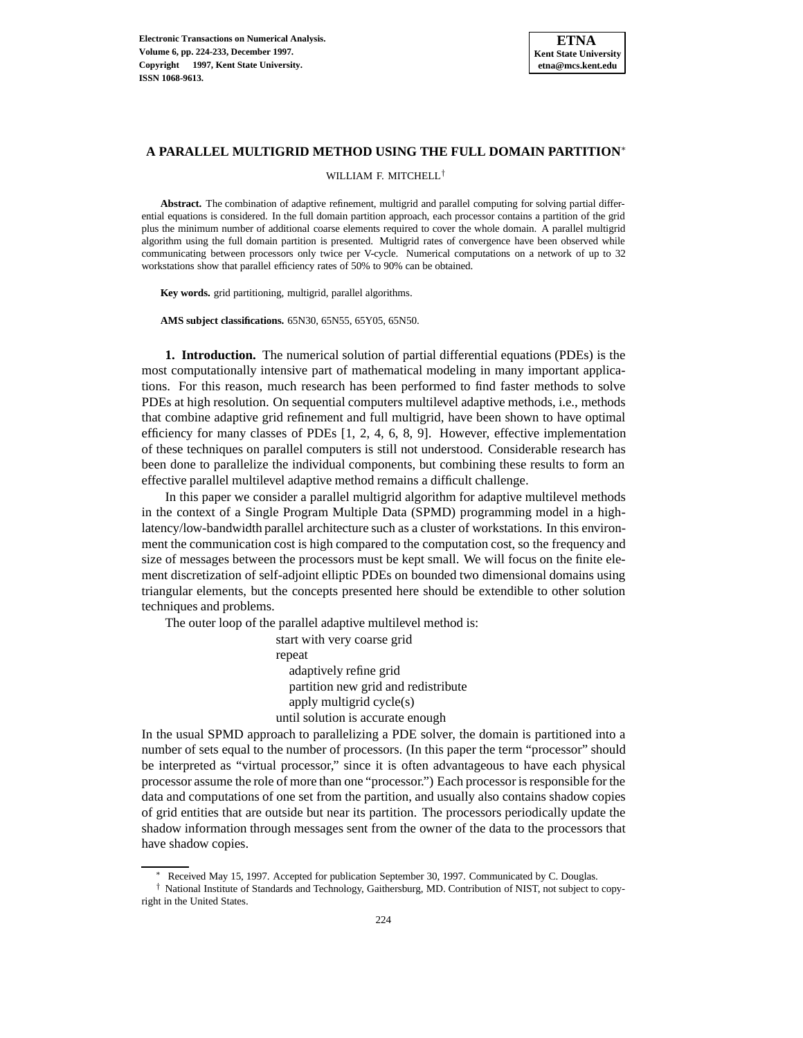

## **A PARALLEL MULTIGRID METHOD USING THE FULL DOMAIN PARTITION**<sup>∗</sup>

WILLIAM F. MITCHELL†

**Abstract.** The combination of adaptive refinement, multigrid and parallel computing for solving partial differential equations is considered. In the full domain partition approach, each processor contains a partition of the grid plus the minimum number of additional coarse elements required to cover the whole domain. A parallel multigrid algorithm using the full domain partition is presented. Multigrid rates of convergence have been observed while communicating between processors only twice per V-cycle. Numerical computations on a network of up to 32 workstations show that parallel efficiency rates of 50% to 90% can be obtained.

**Key words.** grid partitioning, multigrid, parallel algorithms.

**AMS subject classifications.** 65N30, 65N55, 65Y05, 65N50.

**1. Introduction.** The numerical solution of partial differential equations (PDEs) is the most computationally intensive part of mathematical modeling in many important applications. For this reason, much research has been performed to find faster methods to solve PDEs at high resolution. On sequential computers multilevel adaptive methods, i.e., methods that combine adaptive grid refinement and full multigrid, have been shown to have optimal efficiency for many classes of PDEs [1, 2, 4, 6, 8, 9]. However, effective implementation of these techniques on parallel computers is still not understood. Considerable research has been done to parallelize the individual components, but combining these results to form an effective parallel multilevel adaptive method remains a difficult challenge.

In this paper we consider a parallel multigrid algorithm for adaptive multilevel methods in the context of a Single Program Multiple Data (SPMD) programming model in a highlatency/low-bandwidth parallel architecture such as a cluster of workstations. In this environment the communication cost is high compared to the computation cost, so the frequency and size of messages between the processors must be kept small. We will focus on the finite element discretization of self-adjoint elliptic PDEs on bounded two dimensional domains using triangular elements, but the concepts presented here should be extendible to other solution techniques and problems.

The outer loop of the parallel adaptive multilevel method is:

start with very coarse grid repeat adaptively refine grid partition new grid and redistribute apply multigrid cycle(s) until solution is accurate enough

In the usual SPMD approach to parallelizing a PDE solver, the domain is partitioned into a number of sets equal to the number of processors. (In this paper the term "processor" should be interpreted as "virtual processor," since it is often advantageous to have each physical processor assume the role of more than one "processor.") Each processor is responsible for the data and computations of one set from the partition, and usually also contains shadow copies of grid entities that are outside but near its partition. The processors periodically update the shadow information through messages sent from the owner of the data to the processors that have shadow copies.

<sup>∗</sup> Received May 15, 1997. Accepted for publication September 30, 1997. Communicated by C. Douglas.

<sup>†</sup> National Institute of Standards and Technology, Gaithersburg, MD. Contribution of NIST, not subject to copyright in the United States.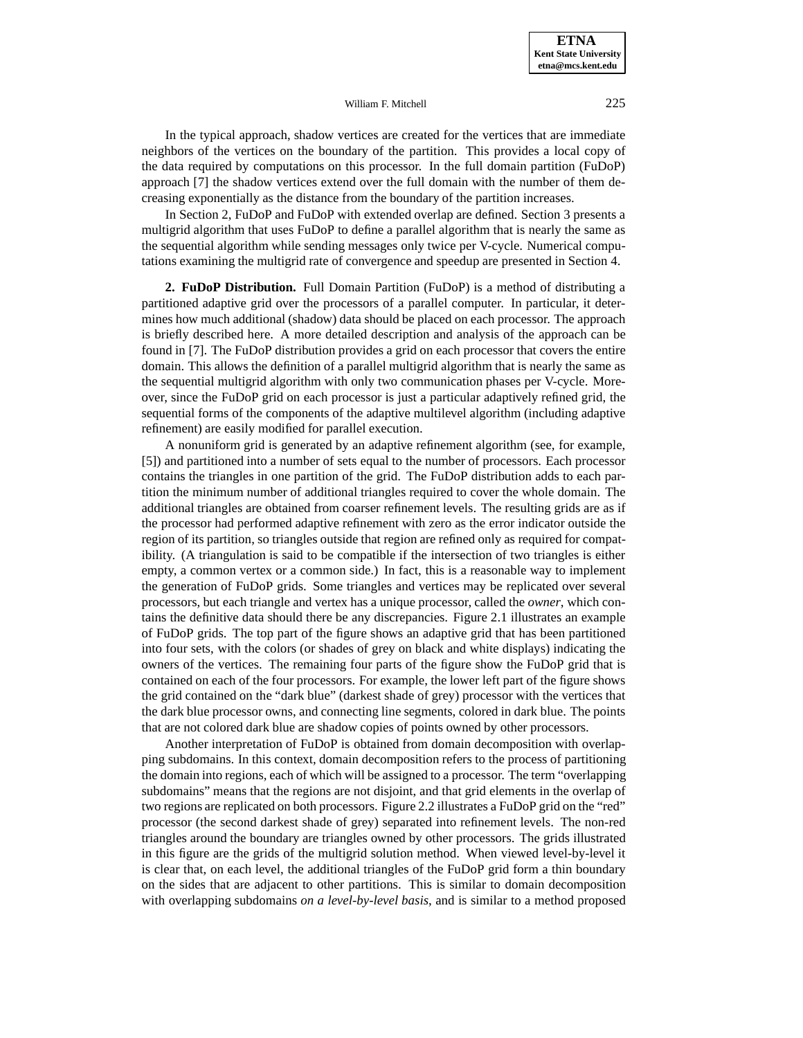In the typical approach, shadow vertices are created for the vertices that are immediate neighbors of the vertices on the boundary of the partition. This provides a local copy of the data required by computations on this processor. In the full domain partition (FuDoP) approach [7] the shadow vertices extend over the full domain with the number of them decreasing exponentially as the distance from the boundary of the partition increases.

In Section 2, FuDoP and FuDoP with extended overlap are defined. Section 3 presents a multigrid algorithm that uses FuDoP to define a parallel algorithm that is nearly the same as the sequential algorithm while sending messages only twice per V-cycle. Numerical computations examining the multigrid rate of convergence and speedup are presented in Section 4.

**2. FuDoP Distribution.** Full Domain Partition (FuDoP) is a method of distributing a partitioned adaptive grid over the processors of a parallel computer. In particular, it determines how much additional (shadow) data should be placed on each processor. The approach is briefly described here. A more detailed description and analysis of the approach can be found in [7]. The FuDoP distribution provides a grid on each processor that covers the entire domain. This allows the definition of a parallel multigrid algorithm that is nearly the same as the sequential multigrid algorithm with only two communication phases per V-cycle. Moreover, since the FuDoP grid on each processor is just a particular adaptively refined grid, the sequential forms of the components of the adaptive multilevel algorithm (including adaptive refinement) are easily modified for parallel execution.

A nonuniform grid is generated by an adaptive refinement algorithm (see, for example, [5]) and partitioned into a number of sets equal to the number of processors. Each processor contains the triangles in one partition of the grid. The FuDoP distribution adds to each partition the minimum number of additional triangles required to cover the whole domain. The additional triangles are obtained from coarser refinement levels. The resulting grids are as if the processor had performed adaptive refinement with zero as the error indicator outside the region of its partition, so triangles outside that region are refined only as required for compatibility. (A triangulation is said to be compatible if the intersection of two triangles is either empty, a common vertex or a common side.) In fact, this is a reasonable way to implement the generation of FuDoP grids. Some triangles and vertices may be replicated over several processors, but each triangle and vertex has a unique processor, called the *owner*, which contains the definitive data should there be any discrepancies. Figure 2.1 illustrates an example of FuDoP grids. The top part of the figure shows an adaptive grid that has been partitioned into four sets, with the colors (or shades of grey on black and white displays) indicating the owners of the vertices. The remaining four parts of the figure show the FuDoP grid that is contained on each of the four processors. For example, the lower left part of the figure shows the grid contained on the "dark blue" (darkest shade of grey) processor with the vertices that the dark blue processor owns, and connecting line segments, colored in dark blue. The points that are not colored dark blue are shadow copies of points owned by other processors.

Another interpretation of FuDoP is obtained from domain decomposition with overlapping subdomains. In this context, domain decomposition refers to the process of partitioning the domain into regions, each of which will be assigned to a processor. The term "overlapping subdomains" means that the regions are not disjoint, and that grid elements in the overlap of two regions are replicated on both processors. Figure 2.2 illustrates a FuDoP grid on the "red" processor (the second darkest shade of grey) separated into refinement levels. The non-red triangles around the boundary are triangles owned by other processors. The grids illustrated in this figure are the grids of the multigrid solution method. When viewed level-by-level it is clear that, on each level, the additional triangles of the FuDoP grid form a thin boundary on the sides that are adjacent to other partitions. This is similar to domain decomposition with overlapping subdomains *on a level-by-level basis*, and is similar to a method proposed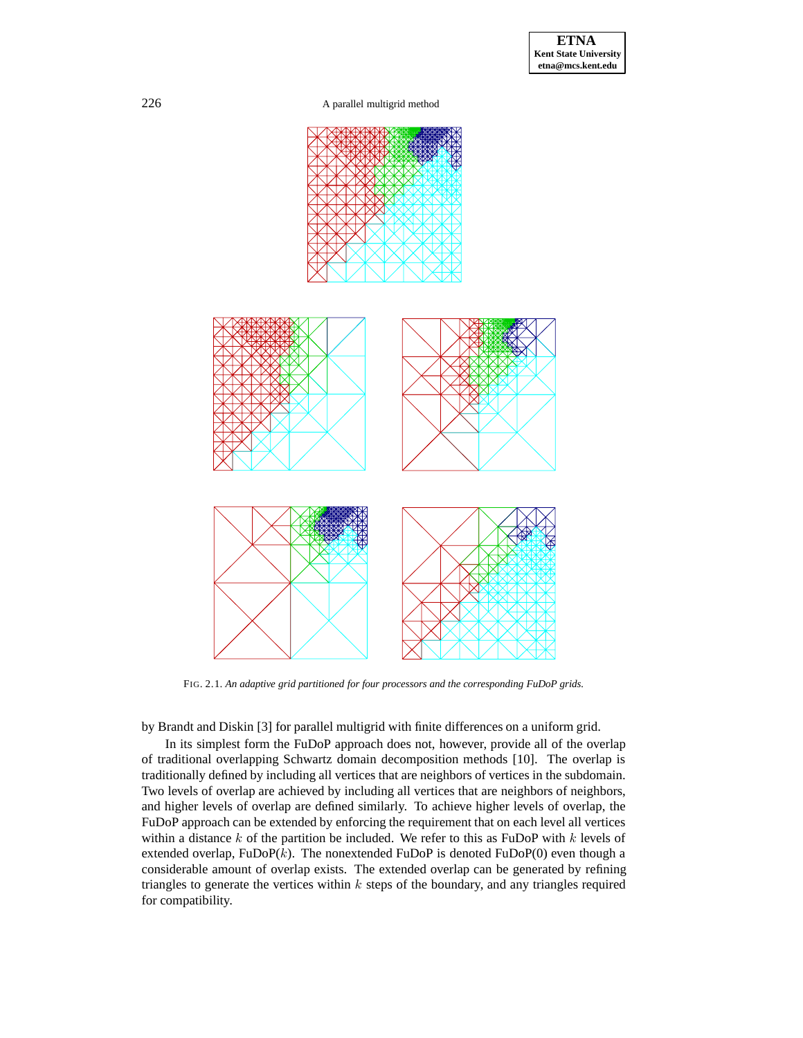

FIG. 2.1. *An adaptive grid partitioned for four processors and the corresponding FuDoP grids.*

by Brandt and Diskin [3] for parallel multigrid with finite differences on a uniform grid.

In its simplest form the FuDoP approach does not, however, provide all of the overlap of traditional overlapping Schwartz domain decomposition methods [10]. The overlap is traditionally defined by including all vertices that are neighbors of vertices in the subdomain. Two levels of overlap are achieved by including all vertices that are neighbors of neighbors, and higher levels of overlap are defined similarly. To achieve higher levels of overlap, the FuDoP approach can be extended by enforcing the requirement that on each level all vertices within a distance  $k$  of the partition be included. We refer to this as FuDoP with  $k$  levels of extended overlap,  $F \text{uDoP}(k)$ . The nonextended  $F \text{uDoP}$  is denoted  $F \text{uDoP}(0)$  even though a considerable amount of overlap exists. The extended overlap can be generated by refining triangles to generate the vertices within  $k$  steps of the boundary, and any triangles required for compatibility.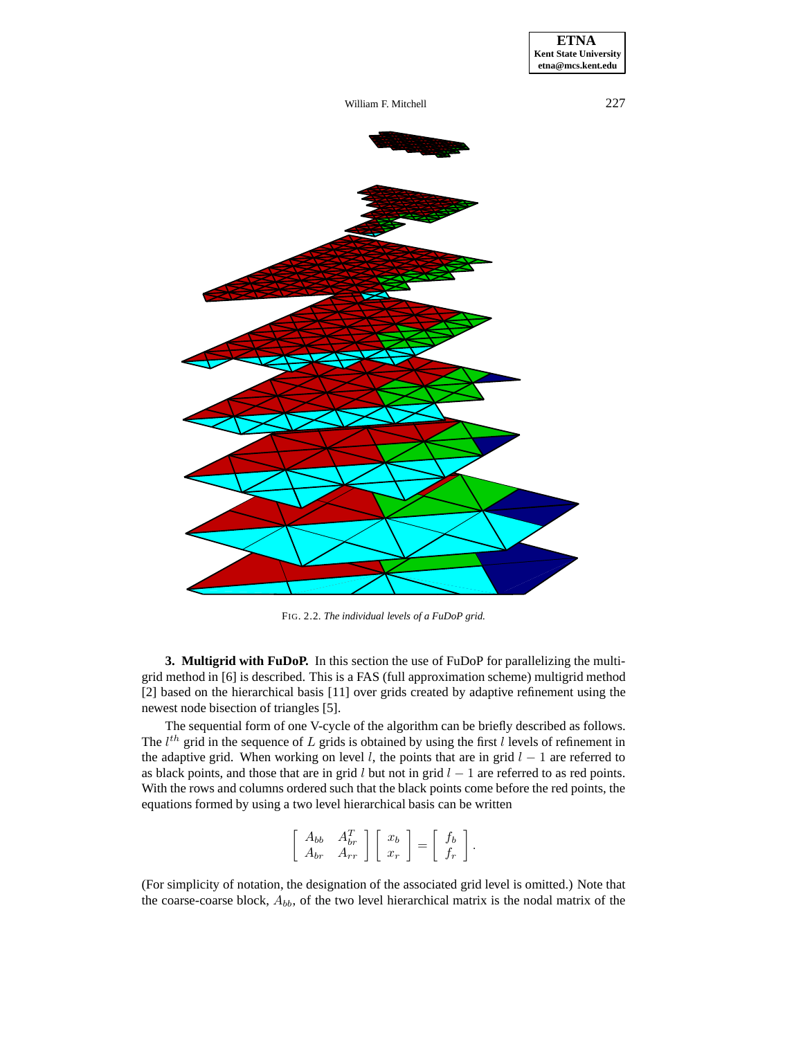William F. Mitchell 227



FIG. 2.2. *The individual levels of a FuDoP grid.*

**3. Multigrid with FuDoP.** In this section the use of FuDoP for parallelizing the multigrid method in [6] is described. This is a FAS (full approximation scheme) multigrid method [2] based on the hierarchical basis [11] over grids created by adaptive refinement using the newest node bisection of triangles [5].

The sequential form of one V-cycle of the algorithm can be briefly described as follows. The  $l^{th}$  grid in the sequence of L grids is obtained by using the first l levels of refinement in the adaptive grid. When working on level l, the points that are in grid  $l - 1$  are referred to as black points, and those that are in grid  $l$  but not in grid  $l - 1$  are referred to as red points. With the rows and columns ordered such that the black points come before the red points, the equations formed by using a two level hierarchical basis can be written

$$
\left[\begin{array}{cc} A_{bb} & A_{br}^T \\ A_{br} & A_{rr} \end{array}\right] \left[\begin{array}{c} x_b \\ x_r \end{array}\right] = \left[\begin{array}{c} f_b \\ f_r \end{array}\right].
$$

(For simplicity of notation, the designation of the associated grid level is omitted.) Note that the coarse-coarse block,  $A_{bb}$ , of the two level hierarchical matrix is the nodal matrix of the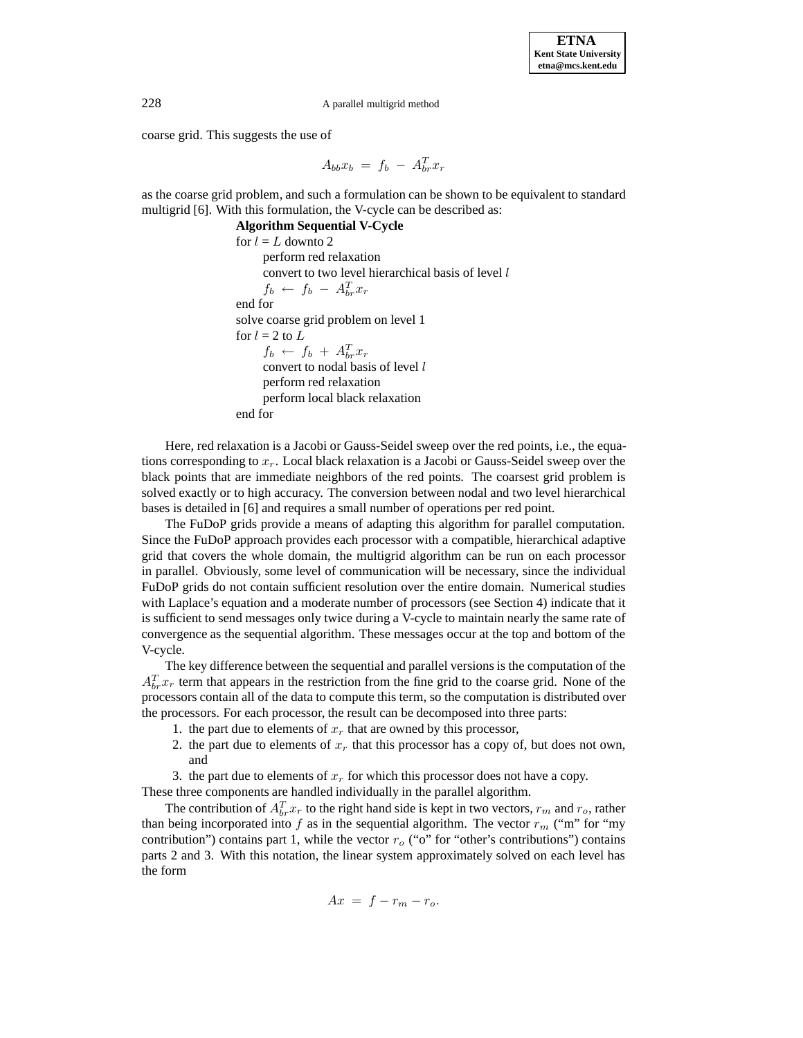coarse grid. This suggests the use of

$$
A_{bb}x_b = f_b - A_{br}^T x_r
$$

as the coarse grid problem, and such a formulation can be shown to be equivalent to standard multigrid [6]. With this formulation, the V-cycle can be described as:

> **Algorithm Sequential V-Cycle** for  $l = L$  downto 2 perform red relaxation convert to two level hierarchical basis of level l  $f_b \leftarrow f_b - A_{br}^T x_r$ end for solve coarse grid problem on level 1 for  $l = 2$  to  $L$  $f_b \leftarrow f_b + A_{br}^T x_r$ convert to nodal basis of level  $l$ perform red relaxation perform local black relaxation end for

Here, red relaxation is a Jacobi or Gauss-Seidel sweep over the red points, i.e., the equations corresponding to  $x_r$ . Local black relaxation is a Jacobi or Gauss-Seidel sweep over the black points that are immediate neighbors of the red points. The coarsest grid problem is solved exactly or to high accuracy. The conversion between nodal and two level hierarchical bases is detailed in [6] and requires a small number of operations per red point.

The FuDoP grids provide a means of adapting this algorithm for parallel computation. Since the FuDoP approach provides each processor with a compatible, hierarchical adaptive grid that covers the whole domain, the multigrid algorithm can be run on each processor in parallel. Obviously, some level of communication will be necessary, since the individual FuDoP grids do not contain sufficient resolution over the entire domain. Numerical studies with Laplace's equation and a moderate number of processors (see Section 4) indicate that it is sufficient to send messages only twice during a V-cycle to maintain nearly the same rate of convergence as the sequential algorithm. These messages occur at the top and bottom of the V-cycle.

The key difference between the sequential and parallel versions is the computation of the  $A_{br}^T x_r$  term that appears in the restriction from the fine grid to the coarse grid. None of the processors contain all of the data to compute this term, so the computation is distributed over the processors. For each processor, the result can be decomposed into three parts:

- 1. the part due to elements of  $x_r$  that are owned by this processor,
- 2. the part due to elements of  $x_r$  that this processor has a copy of, but does not own, and

3. the part due to elements of  $x_r$  for which this processor does not have a copy. These three components are handled individually in the parallel algorithm.

The contribution of  $A_{br}^T x_r$  to the right hand side is kept in two vectors,  $r_m$  and  $r_o$ , rather than being incorporated into f as in the sequential algorithm. The vector  $r_m$  ("m" for "my contribution") contains part 1, while the vector  $r<sub>o</sub>$  ("o" for "other's contributions") contains parts 2 and 3. With this notation, the linear system approximately solved on each level has the form

$$
Ax = f - r_m - r_o.
$$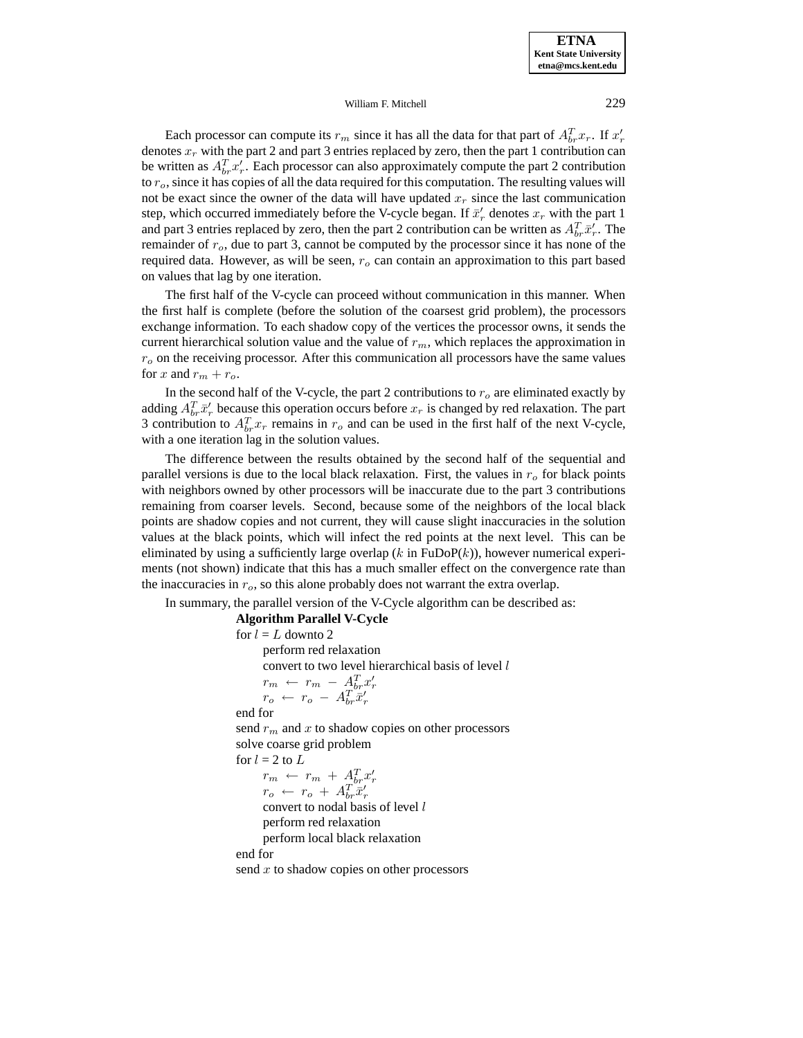Each processor can compute its  $r_m$  since it has all the data for that part of  $A_{br}^T x_r$ . If  $x'_r$ denotes  $x_r$  with the part 2 and part 3 entries replaced by zero, then the part 1 contribution can be written as  $A_{br}^T x_r'$ . Each processor can also approximately compute the part 2 contribution to  $r<sub>o</sub>$ , since it has copies of all the data required for this computation. The resulting values will not be exact since the owner of the data will have updated  $x_r$  since the last communication step, which occurred immediately before the V-cycle began. If  $\bar{x}'_r$  denotes  $x_r$  with the part 1 and part 3 entries replaced by zero, then the part 2 contribution can be written as  $A_{br}^T \bar{x}'_r$ . The remainder of  $r<sub>o</sub>$ , due to part 3, cannot be computed by the processor since it has none of the required data. However, as will be seen,  $r<sub>o</sub>$  can contain an approximation to this part based on values that lag by one iteration.

The first half of the V-cycle can proceed without communication in this manner. When the first half is complete (before the solution of the coarsest grid problem), the processors exchange information. To each shadow copy of the vertices the processor owns, it sends the current hierarchical solution value and the value of  $r<sub>m</sub>$ , which replaces the approximation in  $r<sub>o</sub>$  on the receiving processor. After this communication all processors have the same values for x and  $r_m + r_o$ .

In the second half of the V-cycle, the part 2 contributions to  $r<sub>o</sub>$  are eliminated exactly by adding  $A_{br}^T \bar{x}'_r$  because this operation occurs before  $x_r$  is changed by red relaxation. The part 3 contribution to  $A_{br}^T x_r$  remains in  $r_o$  and can be used in the first half of the next V-cycle, with a one iteration lag in the solution values.

The difference between the results obtained by the second half of the sequential and parallel versions is due to the local black relaxation. First, the values in  $r<sub>o</sub>$  for black points with neighbors owned by other processors will be inaccurate due to the part 3 contributions remaining from coarser levels. Second, because some of the neighbors of the local black points are shadow copies and not current, they will cause slight inaccuracies in the solution values at the black points, which will infect the red points at the next level. This can be eliminated by using a sufficiently large overlap  $(k$  in  $FuDoP(k)$ ), however numerical experiments (not shown) indicate that this has a much smaller effect on the convergence rate than the inaccuracies in  $r_o$ , so this alone probably does not warrant the extra overlap.

In summary, the parallel version of the V-Cycle algorithm can be described as:

**Algorithm Parallel V-Cycle** for  $l = L$  downto 2 perform red relaxation convert to two level hierarchical basis of level l  $r_m \leftarrow r_m - A_{br}^T x'_r$ <br>  $r_o \leftarrow r_o - A_{br}^T \bar{x}'_r$ end for send  $r<sub>m</sub>$  and x to shadow copies on other processors solve coarse grid problem for  $l = 2$  to  $L$  $r_m \leftarrow r_m + A_{br}^T x'_r$ <br>  $r_o \leftarrow r_o + A_{br}^T \bar{x}'_r$ convert to nodal basis of level l perform red relaxation perform local black relaxation end for send  $x$  to shadow copies on other processors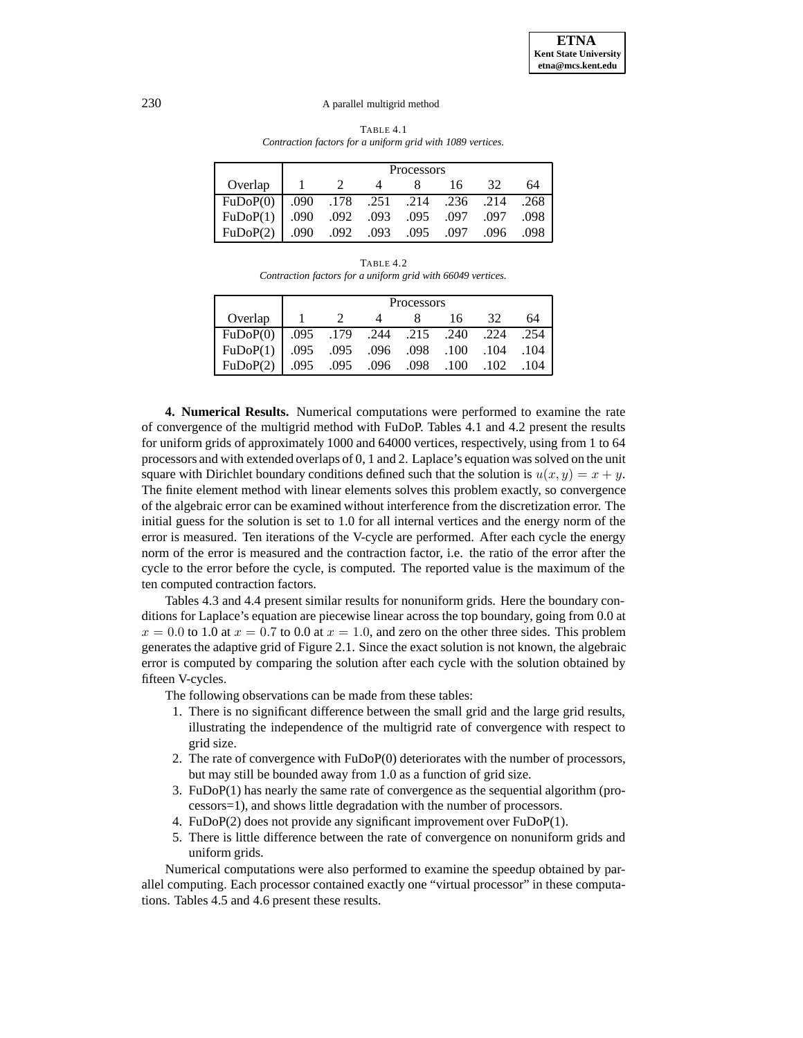TABLE 4.1 *Contraction factors for a uniform grid with 1089 vertices.*

|          | Processors |   |                |                          |      |      |      |
|----------|------------|---|----------------|--------------------------|------|------|------|
| Overlap  | $\sim$ 1   | 2 | 4              |                          | 16   | 32   | 64   |
| FuDoP(0) |            |   |                | .090 .178 .251 .214 .236 |      | .214 | .268 |
| FuDoP(1) |            |   | .090 .092 .093 | .095                     | .097 | .097 | .098 |
| FuDoP(2) | .090       |   | .092. .093     | .095                     | .097 | .096 | .098 |

TABLE 4.2 *Contraction factors for a uniform grid with 66049 vertices.*

|          | <b>Processors</b> |      |                          |      |      |      |      |
|----------|-------------------|------|--------------------------|------|------|------|------|
| Overlap  |                   |      |                          |      | 16   | 32   | 64   |
| FuDoP(0) |                   |      | .095 .179 .244 .215 .240 |      |      | .224 | .254 |
| FuDoP(1) | .095              |      | .095 .096 .098           |      | .100 | .104 | .104 |
| FuDoP(2) | .095              | .095 | .096                     | .098 | .100 | .102 | .104 |

**4. Numerical Results.** Numerical computations were performed to examine the rate of convergence of the multigrid method with FuDoP. Tables 4.1 and 4.2 present the results for uniform grids of approximately 1000 and 64000 vertices, respectively, using from 1 to 64 processors and with extended overlaps of 0, 1 and 2. Laplace's equation was solved on the unit square with Dirichlet boundary conditions defined such that the solution is  $u(x, y) = x + y$ . The finite element method with linear elements solves this problem exactly, so convergence of the algebraic error can be examined without interference from the discretization error. The initial guess for the solution is set to 1.0 for all internal vertices and the energy norm of the error is measured. Ten iterations of the V-cycle are performed. After each cycle the energy norm of the error is measured and the contraction factor, i.e. the ratio of the error after the cycle to the error before the cycle, is computed. The reported value is the maximum of the ten computed contraction factors.

Tables 4.3 and 4.4 present similar results for nonuniform grids. Here the boundary conditions for Laplace's equation are piecewise linear across the top boundary, going from 0.0 at  $x = 0.0$  to 1.0 at  $x = 0.7$  to 0.0 at  $x = 1.0$ , and zero on the other three sides. This problem generates the adaptive grid of Figure 2.1. Since the exact solution is not known, the algebraic error is computed by comparing the solution after each cycle with the solution obtained by fifteen V-cycles.

The following observations can be made from these tables:

- 1. There is no significant difference between the small grid and the large grid results, illustrating the independence of the multigrid rate of convergence with respect to grid size.
- 2. The rate of convergence with FuDoP(0) deteriorates with the number of processors, but may still be bounded away from 1.0 as a function of grid size.
- 3. FuDoP(1) has nearly the same rate of convergence as the sequential algorithm (processors=1), and shows little degradation with the number of processors.
- 4. FuDoP(2) does not provide any significant improvement over FuDoP(1).
- 5. There is little difference between the rate of convergence on nonuniform grids and uniform grids.

Numerical computations were also performed to examine the speedup obtained by parallel computing. Each processor contained exactly one "virtual processor" in these computations. Tables 4.5 and 4.6 present these results.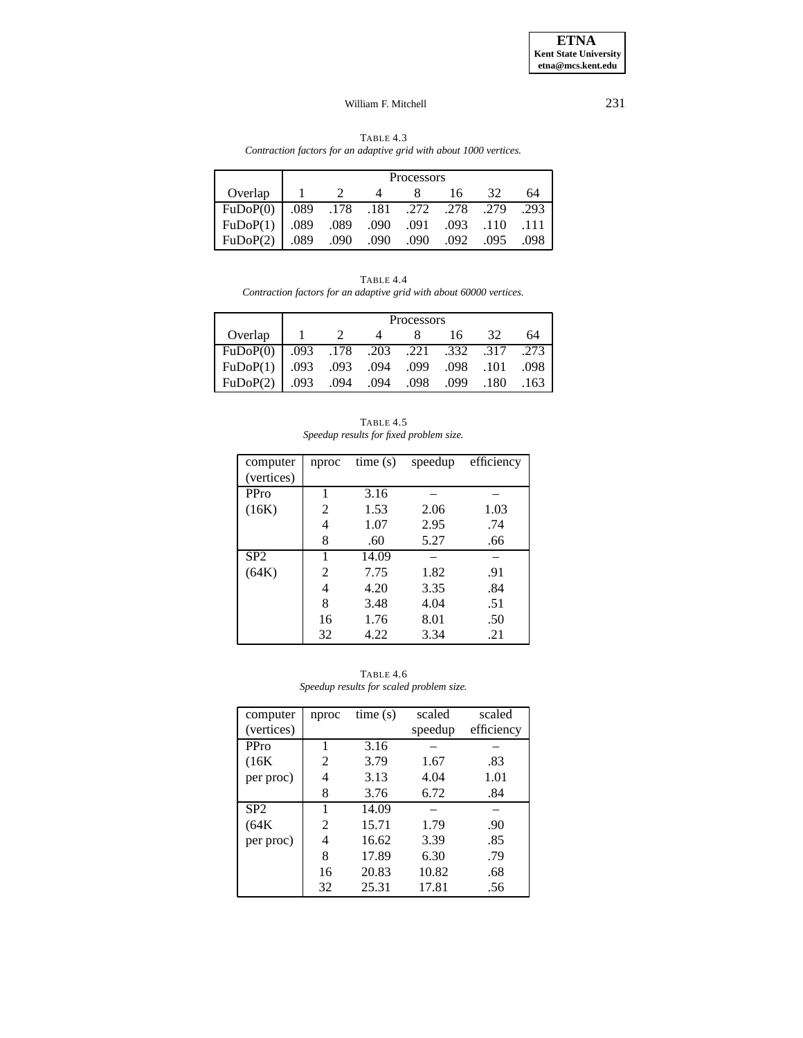| TABLE 4.3 |                                                                    |
|-----------|--------------------------------------------------------------------|
|           | Contraction factors for an adaptive grid with about 1000 vertices. |

|          | Processors |  |                                |      |      |      |        |
|----------|------------|--|--------------------------------|------|------|------|--------|
| Overlap  |            |  |                                |      | 16   | 32   | 64     |
| FuDoP(0) |            |  | .089. 272. 272. 181. 178. 089. |      |      |      | .293   |
| FuDoP(1) | .089       |  | .089 .090 .091 .093 .110       |      |      |      | - .111 |
| FuDoP(2) | .089       |  | .090. 090                      | .090 | .092 | .095 | .098   |

TABLE 4.4 *Contraction factors for an adaptive grid with about 60000 vertices.*

|          | Processors |                |      |      |      |      |      |
|----------|------------|----------------|------|------|------|------|------|
| Overlap  |            |                |      |      | 16   | 32   | 64   |
| FuDoP(0) | .093       | .178 .203 .221 |      |      | .332 | .317 | .273 |
| FuDoP(1) | .093       | .093           | .094 | .099 | .098 | .101 | .098 |
| FuDoP(2) | .093       | .094           | .094 | .098 | .099 | .180 | .163 |

| computer        | nproc | time(s) | speedup | efficiency |
|-----------------|-------|---------|---------|------------|
| (vertices)      |       |         |         |            |
| PPro            |       | 3.16    |         |            |
| (16K)           | 2     | 1.53    | 2.06    | 1.03       |
|                 | 4     | 1.07    | 2.95    | .74        |
|                 | 8     | .60     | 5.27    | .66        |
| SP <sub>2</sub> |       | 14.09   |         |            |
| (64K)           | 2     | 7.75    | 1.82    | .91        |
|                 | 4     | 4.20    | 3.35    | .84        |
|                 | 8     | 3.48    | 4.04    | .51        |
|                 | 16    | 1.76    | 8.01    | .50        |
|                 | 32    | 4.22    | 3.34    | .21        |

TABLE 4.5 *Speedup results for fixed problem size.*

TABLE 4.6 *Speedup results for scaled problem size.*

| computer        | nproc          | time(s) | scaled  | scaled     |
|-----------------|----------------|---------|---------|------------|
| (vertices)      |                |         | speedup | efficiency |
| PPro            | 1              | 3.16    |         |            |
| (16K)           | 2              | 3.79    | 1.67    | .83        |
| per proc)       | 4              | 3.13    | 4.04    | 1.01       |
|                 | 8              | 3.76    | 6.72    | .84        |
| SP <sub>2</sub> |                | 14.09   |         |            |
| (64K)           | $\mathfrak{D}$ | 15.71   | 1.79    | .90        |
| per proc)       | 4              | 16.62   | 3.39    | .85        |
|                 | 8              | 17.89   | 6.30    | .79        |
|                 | 16             | 20.83   | 10.82   | .68        |
|                 | 32             | 25.31   | 17.81   | .56        |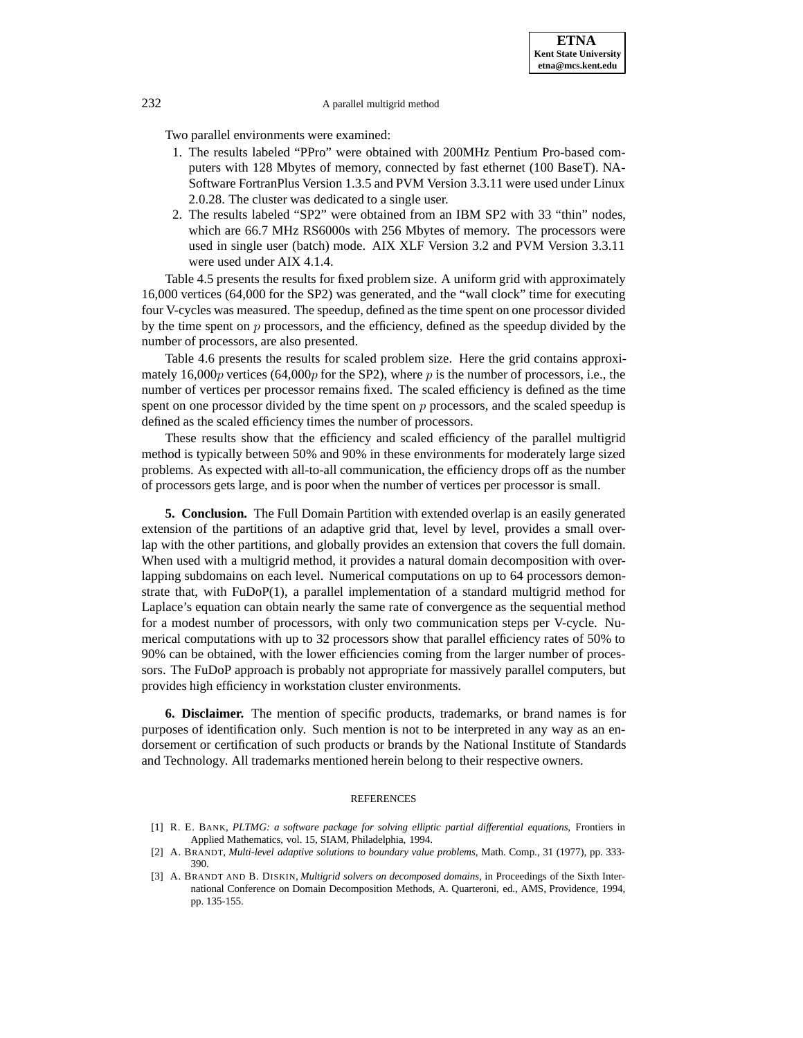Two parallel environments were examined:

- 1. The results labeled "PPro" were obtained with 200MHz Pentium Pro-based computers with 128 Mbytes of memory, connected by fast ethernet (100 BaseT). NA-Software FortranPlus Version 1.3.5 and PVM Version 3.3.11 were used under Linux 2.0.28. The cluster was dedicated to a single user.
- 2. The results labeled "SP2" were obtained from an IBM SP2 with 33 "thin" nodes, which are 66.7 MHz RS6000s with 256 Mbytes of memory. The processors were used in single user (batch) mode. AIX XLF Version 3.2 and PVM Version 3.3.11 were used under AIX 4.1.4.

Table 4.5 presents the results for fixed problem size. A uniform grid with approximately 16,000 vertices (64,000 for the SP2) was generated, and the "wall clock" time for executing four V-cycles was measured. The speedup, defined as the time spent on one processor divided by the time spent on  $p$  processors, and the efficiency, defined as the speedup divided by the number of processors, are also presented.

Table 4.6 presents the results for scaled problem size. Here the grid contains approximately 16,000p vertices (64,000p for the SP2), where p is the number of processors, i.e., the number of vertices per processor remains fixed. The scaled efficiency is defined as the time spent on one processor divided by the time spent on  $p$  processors, and the scaled speedup is defined as the scaled efficiency times the number of processors.

These results show that the efficiency and scaled efficiency of the parallel multigrid method is typically between 50% and 90% in these environments for moderately large sized problems. As expected with all-to-all communication, the efficiency drops off as the number of processors gets large, and is poor when the number of vertices per processor is small.

**5. Conclusion.** The Full Domain Partition with extended overlap is an easily generated extension of the partitions of an adaptive grid that, level by level, provides a small overlap with the other partitions, and globally provides an extension that covers the full domain. When used with a multigrid method, it provides a natural domain decomposition with overlapping subdomains on each level. Numerical computations on up to 64 processors demonstrate that, with FuDoP(1), a parallel implementation of a standard multigrid method for Laplace's equation can obtain nearly the same rate of convergence as the sequential method for a modest number of processors, with only two communication steps per V-cycle. Numerical computations with up to 32 processors show that parallel efficiency rates of 50% to 90% can be obtained, with the lower efficiencies coming from the larger number of processors. The FuDoP approach is probably not appropriate for massively parallel computers, but provides high efficiency in workstation cluster environments.

**6. Disclaimer.** The mention of specific products, trademarks, or brand names is for purposes of identification only. Such mention is not to be interpreted in any way as an endorsement or certification of such products or brands by the National Institute of Standards and Technology. All trademarks mentioned herein belong to their respective owners.

#### **REFERENCES**

- [1] R. E. BANK, *PLTMG: a software package for solving elliptic partial differential equations*, Frontiers in Applied Mathematics, vol. 15, SIAM, Philadelphia, 1994.
- [2] A. BRANDT, *Multi-level adaptive solutions to boundary value problems*, Math. Comp., 31 (1977), pp. 333- 390.
- [3] A. BRANDT AND B. DISKIN, *Multigrid solvers on decomposed domains*, in Proceedings of the Sixth International Conference on Domain Decomposition Methods, A. Quarteroni, ed., AMS, Providence, 1994, pp. 135-155.